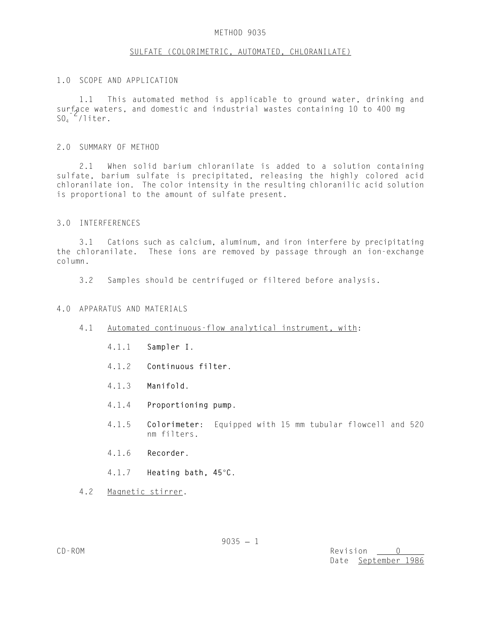#### METHOD 9035

### SULFATE (COLORIMETRIC, AUTOMATED, CHLORANILATE)

### 1.0 SCOPE AND APPLICATION

1.1 This automated method is applicable to ground water, drinking and surface waters, and domestic and industrial wastes containing 10 to 400 mg  $SO_4$   $-$ /liter.

### 2.0 SUMMARY OF METHOD

2.1 When solid barium chloranilate is added to a solution containing sulfate, barium sulfate is precipitated, releasing the highly colored acid chloranilate ion. The color intensity in the resulting chloranilic acid solution is proportional to the amount of sulfate present.

### 3.0 INTERFERENCES

3.1 Cations such as calcium, aluminum, and iron interfere by precipitating the chloranilate. These ions are removed by passage through an ion-exchange column.

3.2 Samples should be centrifuged or filtered before analysis.

### 4.0 APPARATUS AND MATERIALS

- 4.1 Automated continuous-flow analytical instrument, with:
	- 4.1.1 **Sampler I**.
	- 4.1.2 **Continuous filter**.
	- 4.1.3 **Manifold**.
	- 4.1.4 **Proportioning pump**.
	- 4.1.5 **Colorimeter**: Equipped with 15 mm tubular flowcell and 520 nm filters.
	- 4.1.6 **Recorder**.
	- 4.1.7 **Heating bath, 45°C.**
- 4.2 Magnetic stirrer.

CD-ROM Revision 0 Date September 1986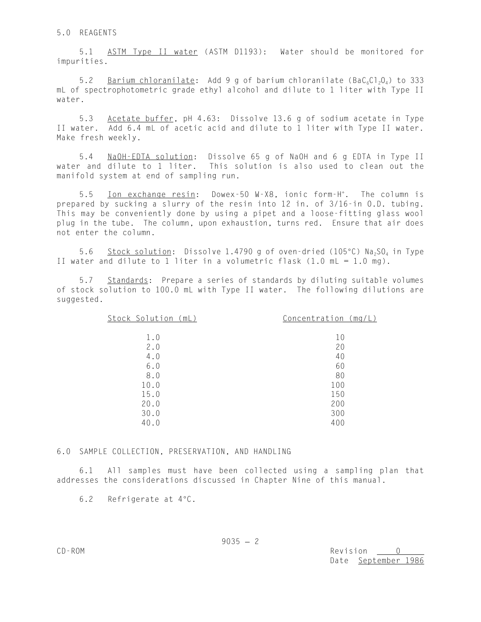5.1 ASTM Type II water (ASTM D1193): Water should be monitored for impurities.

5.2 Barium chloranilate: Add 9 g of barium chloranilate ( $BaC_6Cl_2O_4$ ) to 333 mL of spectrophotometric grade ethyl alcohol and dilute to 1 liter with Type II water.

5.3 Acetate buffer, pH 4.63: Dissolve 13.6 g of sodium acetate in Type II water. Add 6.4 mL of acetic acid and dilute to 1 liter with Type II water. Make fresh weekly.

5.4 NaOH-EDTA solution: Dissolve 65 g of NaOH and 6 g EDTA in Type II water and dilute to 1 liter. This solution is also used to clean out the manifold system at end of sampling run.

5.5 <u>Ion exchange resin</u>: Dowex-50 W-X8, ionic form-H<sup>+</sup>. The column is prepared by sucking a slurry of the resin into 12 in. of 3/16-in O.D. tubing. This may be conveniently done by using a pipet and a loose-fitting glass wool plug in the tube. The column, upon exhaustion, turns red. Ensure that air does not enter the column.

5.6 Stock solution: Dissolve 1.4790 g of oven-dried (105°C)  $Na<sub>2</sub>SO<sub>4</sub>$  in Type II water and dilute to 1 liter in a volumetric flask  $(1.0 \text{ mL} = 1.0 \text{ mg})$ .

Standards: Prepare a series of standards by diluting suitable volumes of stock solution to 100.0 mL with Type II water. The following dilutions are suggested.

| Stock Solution (mL) | Concentration (mg/L) |
|---------------------|----------------------|
|                     |                      |
| 1.0                 | 10                   |
| 2.0                 | 20                   |
| 4.0                 | 40                   |
| 6.0                 | 60                   |
| 8.0                 | 80                   |
| 10.0                | 100                  |
| 15.0                | 150                  |
| 20.0                | 200                  |
| 30.0                | 300                  |
| 40.0                | 400                  |
|                     |                      |

# 6.0 SAMPLE COLLECTION, PRESERVATION, AND HANDLING

6.1 All samples must have been collected using a sampling plan that addresses the considerations discussed in Chapter Nine of this manual.

6.2 Refrigerate at  $4^{\circ}$ C.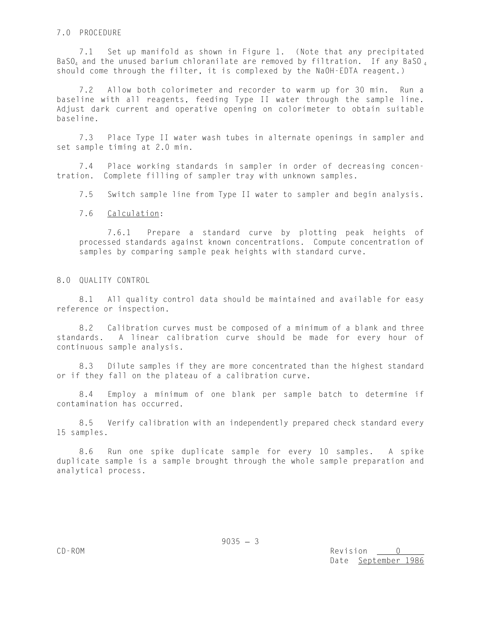## 7.0 PROCEDURE

7.1 Set up manifold as shown in Figure 1. (Note that any precipitated BaSO<sub>4</sub> and the unused barium chloranilate are removed by filtration. If any BaSO<sub>4</sub> should come through the filter, it is complexed by the NaOH-EDTA reagent.)

7.2 Allow both colorimeter and recorder to warm up for 30 min. Run a baseline with all reagents, feeding Type II water through the sample line. Adjust dark current and operative opening on colorimeter to obtain suitable baseline.

7.3 Place Type II water wash tubes in alternate openings in sampler and set sample timing at 2.0 min.

7.4 Place working standards in sampler in order of decreasing concentration. Complete filling of sampler tray with unknown samples.

7.5 Switch sample line from Type II water to sampler and begin analysis.

7.6 Calculation:

7.6.1 Prepare a standard curve by plotting peak heights of processed standards against known concentrations. Compute concentration of samples by comparing sample peak heights with standard curve.

#### 8.0 QUALITY CONTROL

8.1 All quality control data should be maintained and available for easy reference or inspection.

8.2 Calibration curves must be composed of a minimum of a blank and three standards. A linear calibration curve should be made for every hour of continuous sample analysis.

8.3 Dilute samples if they are more concentrated than the highest standard or if they fall on the plateau of a calibration curve.

8.4 Employ a minimum of one blank per sample batch to determine if contamination has occurred.

8.5 Verify calibration with an independently prepared check standard every 15 samples.

8.6 Run one spike duplicate sample for every 10 samples. A spike duplicate sample is a sample brought through the whole sample preparation and analytical process.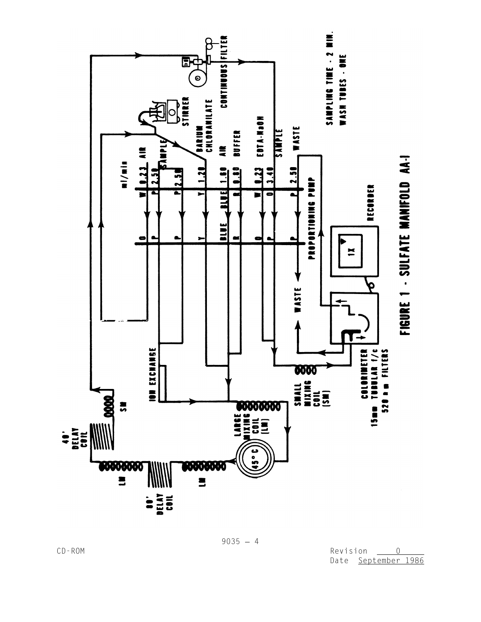

 $9035 - 4$ 

CD-ROM Revision <u>0</u> Date September 1986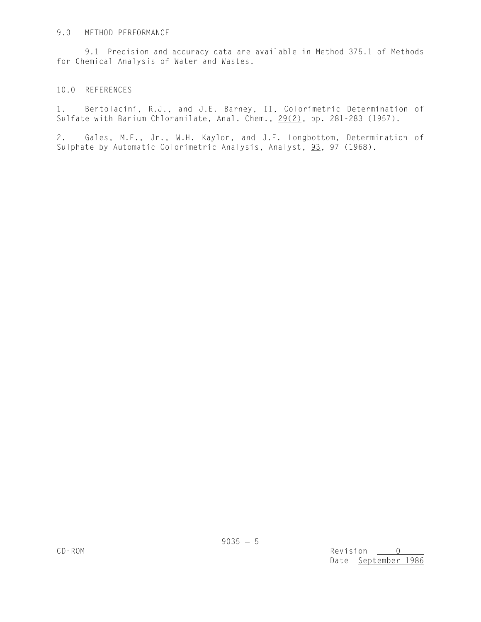## 9.0 METHOD PERFORMANCE

9.1 Precision and accuracy data are available in Method 375.1 of Methods for Chemical Analysis of Water and Wastes.

# 10.0 REFERENCES

1. Bertolacini, R.J., and J.E. Barney, II, Colorimetric Determination of Sulfate with Barium Chloranilate, Anal. Chem., 29(2), pp. 281-283 (1957).

2. Gales, M.E., Jr., W.H. Kaylor, and J.E. Longbottom, Determination of Sulphate by Automatic Colorimetric Analysis, Analyst, 93, 97 (1968).